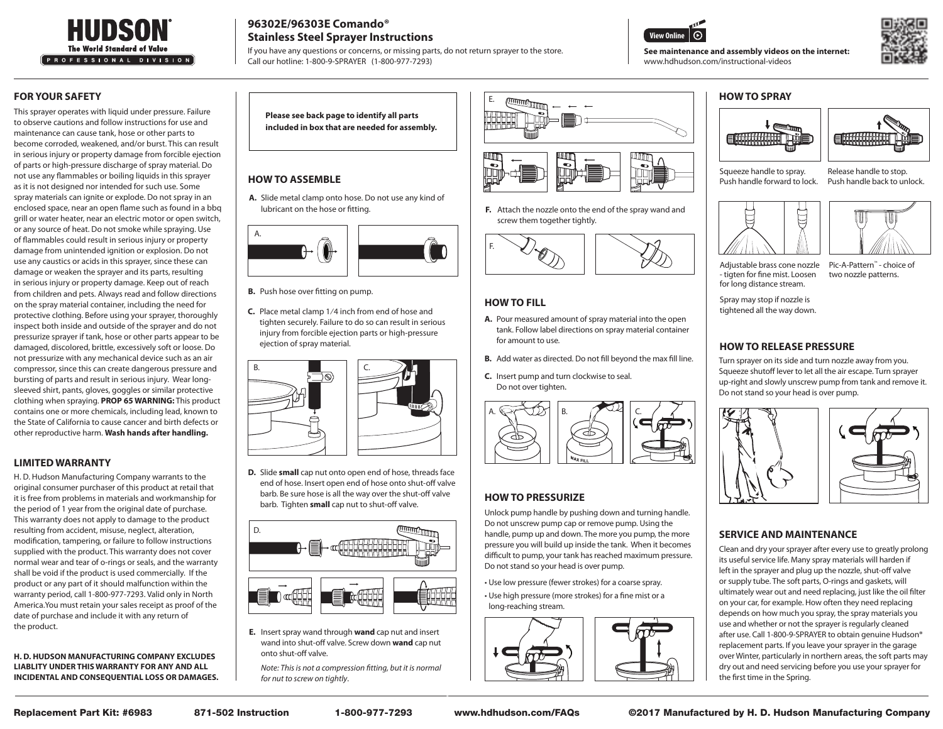

# **96302E/96303E Comando® Stainless Steel Sprayer Instructions**

If you have any questions or concerns, or missing parts, do not return sprayer to the store. Call our hotline: 1-800-9-SPRAYER (1-800-977-7293)





## **FOR YOUR SAFETY**

This sprayer operates with liquid under pressure. Failure to observe cautions and follow instructions for use and maintenance can cause tank, hose or other parts to become corroded, weakened, and/or burst. This can result in serious injury or property damage from forcible ejection of parts or high-pressure discharge of spray material. Do not use any flammables or boiling liquids in this sprayer as it is not designed nor intended for such use. Some spray materials can ignite or explode. Do not spray in an enclosed space, near an open flame such as found in a bbq grill or water heater, near an electric motor or open switch, or any source of heat. Do not smoke while spraying. Use of flammables could result in serious injury or property damage from unintended ignition or explosion. Do not use any caustics or acids in this sprayer, since these can damage or weaken the sprayer and its parts, resulting in serious injury or property damage. Keep out of reach from children and pets. Always read and follow directions on the spray material container, including the need for protective clothing. Before using your sprayer, thoroughly inspect both inside and outside of the sprayer and do not pressurize sprayer if tank, hose or other parts appear to be damaged, discolored, brittle, excessively soft or loose. Do not pressurize with any mechanical device such as an air compressor, since this can create dangerous pressure and bursting of parts and result in serious injury. Wear longsleeved shirt, pants, gloves, goggles or similar protective clothing when spraying. **PROP 65 WARNING:** This product contains one or more chemicals, including lead, known to the State of California to cause cancer and birth defects or other reproductive harm. **Wash hands after handling.**

## **LIMITED WARRANTY**

H. D. Hudson Manufacturing Company warrants to the original consumer purchaser of this product at retail that it is free from problems in materials and workmanship for the period of 1 year from the original date of purchase. This warranty does not apply to damage to the product resulting from accident, misuse, neglect, alteration, modification, tampering, or failure to follow instructions supplied with the product. This warranty does not cover normal wear and tear of o-rings or seals, and the warranty shall be void if the product is used commercially. If the product or any part of it should malfunction within the warranty period, call 1-800-977-7293. Valid only in North America.You must retain your sales receipt as proof of the date of purchase and include it with any return of the product.

**H. D. HUDSON MANUFACTURING COMPANY EXCLUDES LIABLITY UNDER THIS WARRANTY FOR ANY AND ALL INCIDENTAL AND CONSEQUENTIAL LOSS OR DAMAGES.**

**Please see back page to identify all parts included in box that are needed for assembly.**

## **HOW TO ASSEMBLE**

A. Slide metal clamp onto hose. Do not use any kind of lubricant on the hose or fitting.



**B.** Push hose over fitting on pump.

**C.** Place metal clamp 1/4 inch from end of hose and tighten securely. Failure to do so can result in serious injury from forcible ejection parts or high-pressure ejection of spray material.



**D.** Slide small cap nut onto open end of hose, threads face end of hose. Insert open end of hose onto shut-off valve barb. Be sure hose is all the way over the shut-off valve barb. Tighten **small** cap nut to shut-off valve.



**E.** Insert spray wand through wand cap nut and insert wand into shut-off valve. Screw down **wand** cap nut onto shut-off valve.

Note: This is not a compression fitting, but it is normal for nut to screw on tightly.



Attach the nozzle onto the end of the spray wand and **F.**  screw them together tightly.



## **HOW TO FILL**

- A. Pour measured amount of spray material into the open tank. Follow label directions on spray material container for amount to use.
- Add water as directed. Do not fill beyond the max fill line. **B.**
- **C.** Insert pump and turn clockwise to seal. Do not over tighten.



## **HOW TO PRESSURIZE**

Unlock pump handle by pushing down and turning handle. Do not unscrew pump cap or remove pump. Using the handle, pump up and down. The more you pump, the more pressure you will build up inside the tank. When it becomes difficult to pump, your tank has reached maximum pressure. Do not stand so your head is over pump.

• Use low pressure (fewer strokes) for a coarse spray.

• Use high pressure (more strokes) for a fine mist or a long-reaching stream.



### **HOW TO SPRAY**

**See maintenance and assembly videos on the internet:**

www.hdhudson.com/instructional-videos





Squeeze handle to spray. Push handle forward to lock.

Release handle to stop. Push handle back to unlock.





Pic-A-Pattern<sup>™</sup> - choice of two nozzle patterns. Adjustable brass cone nozzle - tigten for fine mist. Loosen for long distance stream.

Spray may stop if nozzle is tightened all the way down.

## **HOW TO RELEASE PRESSURE**

 Turn sprayer on its side and turn nozzle away from you. Squeeze shutoff lever to let all the air escape. Turn sprayer up-right and slowly unscrew pump from tank and remove it. Do not stand so your head is over pump.



## **SERVICE AND MAINTENANCE**

Clean and dry your sprayer after every use to greatly prolong its useful service life. Many spray materials will harden if left in the sprayer and plug up the nozzle, shut-off valve or supply tube. The soft parts, O-rings and gaskets, will ultimately wear out and need replacing, just like the oil filter on your car, for example. How often they need replacing depends on how much you spray, the spray materials you use and whether or not the sprayer is regularly cleaned after use. Call 1-800-9-SPRAYER to obtain genuine Hudson® replacement parts. If you leave your sprayer in the garage over Winter, particularly in northern areas, the soft parts may dry out and need servicing before you use your sprayer for the first time in the Spring.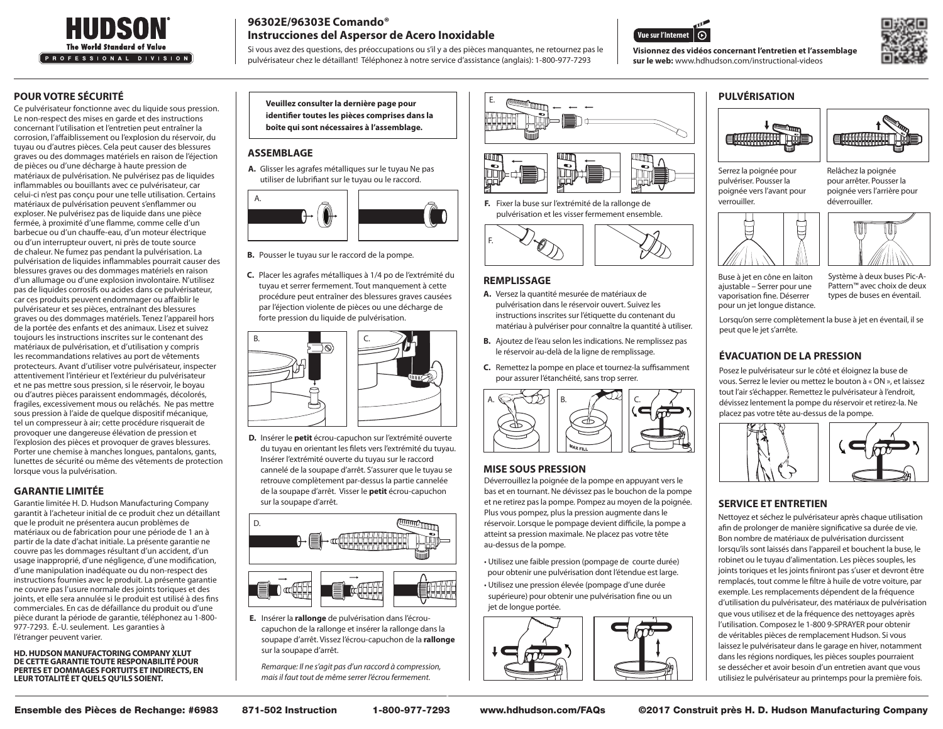

# **96302E/96303E Comando® Instrucciones del Aspersor de Acero Inoxidable**

Si vous avez des questions, des préoccupations ou s'il y a des pièces manquantes, ne retournez pas le pulvérisateur chez le détaillant! Téléphonez à notre service d'assistance (anglais): 1-800-977-7293





## **POUR VOTRE SÉCURITÉ**

Ce pulvérisateur fonctionne avec du liquide sous pression. Le non-respect des mises en garde et des instructions concernant l'utilisation et l'entretien peut entraîner la corrosion, l'affaiblissement ou l'explosion du réservoir, du tuyau ou d'autres pièces. Cela peut causer des blessures graves ou des dommages matériels en raison de l'éjection de pièces ou d'une décharge à haute pression de matériaux de pulvérisation. Ne pulvérisez pas de liquides inflammables ou bouillants avec ce pulvérisateur, car celui-ci n'est pas conçu pour une telle utilisation. Certains matériaux de pulvérisation peuvent s'enflammer ou exploser. Ne pulvérisez pas de liquide dans une pièce fermée, à proximité d'une flamme, comme celle d'un barbecue ou d'un chauffe-eau, d'un moteur électrique ou d'un interrupteur ouvert, ni près de toute source de chaleur. Ne fumez pas pendant la pulvérisation. La pulvérisation de liquides inflammables pourrait causer des blessures graves ou des dommages matériels en raison d'un allumage ou d'une explosion involontaire. N'utilisez pas de liquides corrosifs ou acides dans ce pulvérisateur, car ces produits peuvent endommager ou affaiblir le pulvérisateur et ses pièces, entraînant des blessures graves ou des dommages matériels. Tenez l'appareil hors de la portée des enfants et des animaux. Lisez et suivez toujours les instructions inscrites sur le contenant des matériaux de pulvérisation, et d'utilisation y compris les recommandations relatives au port de vêtements protecteurs. Avant d'utiliser votre pulvérisateur, inspecter attentivement l'intérieur et l'extérieur du pulvérisateur et ne pas mettre sous pression, si le réservoir, le boyau ou d'autres pièces paraissent endommagés, décolorés, fragiles, excessivement mous ou relâchés. Ne pas mettre sous pression à l'aide de quelque dispositif mécanique, tel un compresseur à air; cette procédure risquerait de provoquer une dangereuse élévation de pression et l'explosion des pièces et provoquer de graves blessures. Porter une chemise à manches longues, pantalons, gants, lunettes de sécurité ou même des vêtements de protection lorsque vous la pulvérisation.

## **GARANTIE LIMITÉE**

Garantie limitée H. D. Hudson Manufacturing Company garantit à l'acheteur initial de ce produit chez un détaillant que le produit ne présentera aucun problèmes de matériaux ou de fabrication pour une période de 1 an à partir de la date d'achat initiale. La présente garantie ne couvre pas les dommages résultant d'un accident, d'un usage inapproprié, d'une négligence, d'une modification, d'une manipulation inadéquate ou du non-respect des instructions fournies avec le produit. La présente garantie ne couvre pas l'usure normale des joints toriques et des joints, et elle sera annulée si le produit est utilisé à des fins commerciales. En cas de défaillance du produit ou d'une pièce durant la période de garantie, téléphonez au 1-800- 977-7293. É.-U. seulement. Les garanties à l'étranger peuvent varier.

**HD. HUDSON MANUFACTORING COMPANY XLUT DE CETTE GARANTIE TOUTE RESPONABILITÉ POUR PERTES ET DOMMAGES FORTUITS ET INDIRECTS, EN LEUR TOTALITÉ ET QUELS QU'ILS SOIENT.**

**Veuillez consulter la dernière page pour identifier toutes les pièces comprises dans la boîte qui sont nécessaires à l'assemblage.**

## **ASSEMBLAGE**

A. Glisser les agrafes métalliques sur le tuyau Ne pas utiliser de lubrifiant sur le tuyau ou le raccord.



**B.** Pousser le tuyau sur le raccord de la pompe.

Placer les agrafes métalliques à 1/4 po de l'extrémité du **C.** tuyau et serrer fermement. Tout manquement à cette procédure peut entraîner des blessures graves causées par l'éjection violente de pièces ou une décharge de forte pression du liquide de pulvérisation.



D. Insérer le petit écrou-capuchon sur l'extrémité ouverte du tuyau en orientant les filets vers l'extrémité du tuyau. Insérer l'extrémité ouverte du tuyau sur le raccord cannelé de la soupape d'arrêt. S'assurer que le tuyau se retrouve complètement par-dessus la partie cannelée de la soupape d'arrêt. Visser le **petit** écrou-capuchon sur la soupape d'arrêt.



E. Insérer la **rallonge** de pulvérisation dans l'écroucapuchon de la rallonge et insérer la rallonge dans la soupape d'arrêt. Vissez l'écrou-capuchon de la **rallonge**  sur la soupape d'arrêt.

Remarque: Il ne s'agit pas d'un raccord à compression, mais il faut tout de même serrer l'écrou fermement.





**F.** Fixer la buse sur l'extrémité de la rallonge de pulvérisation et les visser fermement ensemble.



#### **REMPLISSAGE**

- **A.** Versez la quantité mesurée de matériaux de pulvérisation dans le réservoir ouvert. Suivez les instructions inscrites sur l'étiquette du contenant du matériau à pulvériser pour connaître la quantité à utiliser.
- **B.** Ajoutez de l'eau selon les indications. Ne remplissez pas le réservoir au-delà de la ligne de remplissage.
- **C.** Remettez la pompe en place et tournez-la suffisamment pour assurer l'étanchéité, sans trop serrer.



## **MISE SOUS PRESSION**

Déverrouillez la poignée de la pompe en appuyant vers le bas et en tournant. Ne dévissez pas le bouchon de la pompe et ne retirez pas la pompe. Pompez au moyen de la poignée. Plus vous pompez, plus la pression augmente dans le réservoir. Lorsque le pompage devient difficile, la pompe a atteint sa pression maximale. Ne placez pas votre tête au-dessus de la pompe.

• Utilisez une faible pression (pompage de courte durée) pour obtenir une pulvérisation dont l'étendue est large.

• Utilisez une pression élevée (pompage d'une durée supérieure) pour obtenir une pulvérisation fine ou un jet de longue portée.



## **PULVÉRISATION**

**Visionnez des vidéos concernant l'entretien et l'assemblage sur le web:** www.hdhudson.com/instructional-videos



Relâchez la poignée pour arrêter. Pousser la poignée vers l'arrière pour

déverrouiller.

Serrez la poignée pour pulvériser. Pousser la poignée vers l'avant pour verrouiller.





Buse à jet en cône en laiton ajustable – Serrer pour une vaporisation fine. Déserrer pour un jet longue distance.

Système à deux buses Pic-A-Pattern™ avec choix de deux types de buses en éventail.

Lorsqu'on serre complètement la buse à jet en éventail, il se peut que le jet s'arrête.

## **ÉVACUATION DE LA PRESSION**

 Posez le pulvérisateur sur le côté et éloignez la buse de vous. Serrez le levier ou mettez le bouton à « ON », et laissez tout l'air s'échapper. Remettez le pulvérisateur à l'endroit, dévissez lentement la pompe du réservoir et retirez-la. Ne placez pas votre tête au-dessus de la pompe.



## **SERVICE ET ENTRETIEN**

Nettoyez et séchez le pulvérisateur après chaque utilisation afin de prolonger de manière significative sa durée de vie. Bon nombre de matériaux de pulvérisation durcissent lorsqu'ils sont laissés dans l'appareil et bouchent la buse, le robinet ou le tuyau d'alimentation. Les pièces souples, les joints toriques et les joints finiront pas s'user et devront être remplacés, tout comme le filtre à huile de votre voiture, par exemple. Les remplacements dépendent de la fréquence d'utilisation du pulvérisateur, des matériaux de pulvérisation que vous utilisez et de la fréquence des nettoyages après l'utilisation. Composez le 1-800 9-SPRAYER pour obtenir de véritables pièces de remplacement Hudson. Si vous laissez le pulvérisateur dans le garage en hiver, notamment dans les régions nordiques, les pièces souples pourraient se dessécher et avoir besoin d'un entretien avant que vous utilisiez le pulvérisateur au printemps pour la première fois.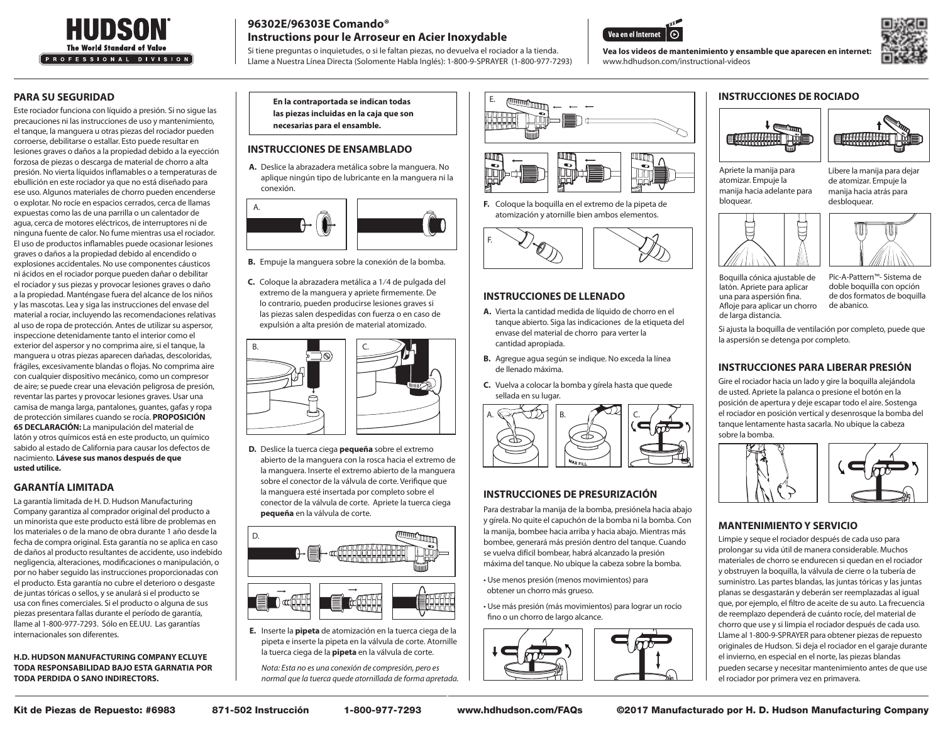

# **96302E/96303E Comando® Instructions pour le Arroseur en Acier Inoxydable**

Si tiene preguntas o inquietudes, o si le faltan piezas, no devuelva el rociador a la tienda. Llame a Nuestra Línea Directa (Solomente Habla Inglés): 1-800-9-SPRAYER (1-800-977-7293)



www.hdhudson.com/instructional-videos



#### **PARA SU SEGURIDAD**

Este rociador funciona con líquido a presión. Si no sigue las precauciones ni las instrucciones de uso y mantenimiento, el tanque, la manguera u otras piezas del rociador pueden corroerse, debilitarse o estallar. Esto puede resultar en lesiones graves o daños a la propiedad debido a la eyección forzosa de piezas o descarga de material de chorro a alta presión. No vierta líquidos inflamables o a temperaturas de ebullición en este rociador ya que no está diseñado para ese uso. Algunos materiales de chorro pueden encenderse o explotar. No rocíe en espacios cerrados, cerca de llamas expuestas como las de una parrilla o un calentador de agua, cerca de motores eléctricos, de interruptores ni de ninguna fuente de calor. No fume mientras usa el rociador. El uso de productos inflamables puede ocasionar lesiones graves o daños a la propiedad debido al encendido o explosiones accidentales. No use componentes cáusticos ni ácidos en el rociador porque pueden dañar o debilitar el rociador y sus piezas y provocar lesiones graves o daño a la propiedad. Manténgase fuera del alcance de los niños y las mascotas. Lea y siga las instrucciones del envase del material a rociar, incluyendo las recomendaciones relativas al uso de ropa de protección. Antes de utilizar su aspersor, inspeccione detenidamente tanto el interior como el exterior del aspersor y no comprima aire, si el tanque, la manguera u otras piezas aparecen dañadas, descoloridas, frágiles, excesivamente blandas o flojas. No comprima aire con cualquier dispositivo mecánico, como un compresor de aire; se puede crear una elevación peligrosa de presión, reventar las partes y provocar lesiones graves. Usar una camisa de manga larga, pantalones, guantes, gafas y ropa de protección similares cuando se rocía. **PROPOSICIÓN 65 DECLARACIÓN:** La manipulación del material de latón y otros químicos está en este producto, un químico sabido al estado de California para causar los defectos de nacimiento. **Lávese sus manos después de que usted utilice.**

## **GARANTÍA LIMITADA**

La garantía limitada de H. D. Hudson Manufacturing Company garantiza al comprador original del producto a un minorista que este producto está libre de problemas en los materiales o de la mano de obra durante 1 año desde la fecha de compra original. Esta garantía no se aplica en caso de daños al producto resultantes de accidente, uso indebido negligencia, alteraciones, modificaciones o manipulación, o por no haber seguido las instrucciones proporcionadas con el producto. Esta garantía no cubre el deterioro o desgaste de juntas tóricas o sellos, y se anulará si el producto se usa con fines comerciales. Si el producto o alguna de sus piezas presentara fallas durante el período de garantía, llame al 1-800-977-7293. Sólo en EE.UU. Las garantías internacionales son diferentes.

**H.D. HUDSON MANUFACTURING COMPANY ECLUYE TODA RESPONSABILIDAD BAJO ESTA GARNATIA POR TODA PERDIDA O SANO INDIRECTORS.**

**En la contraportada se indican todas las piezas incluidas en la caja que son necesarias para el ensamble.**

## **INSTRUCCIONES DE ENSAMBLADO**

A. Deslice la abrazadera metálica sobre la manguera. No aplique ningún tipo de lubricante en la manguera ni la conexión.



**B.** Empuje la manguera sobre la conexión de la bomba.

C. Coloque la abrazadera metálica a 1/4 de pulgada del extremo de la manguera y apriete firmemente. De lo contrario, pueden producirse lesiones graves si las piezas salen despedidas con fuerza o en caso de expulsión a alta presión de material atomizado.



**D.** Deslice la tuerca ciega **pequeña** sobre el extremo abierto de la manguera con la rosca hacia el extremo de la manguera. Inserte el extremo abierto de la manguera sobre el conector de la válvula de corte. Verifique que la manguera esté insertada por completo sobre el conector de la válvula de corte. Apriete la tuerca ciega **pequeña** en la válvula de corte.



E. Inserte la **pipeta** de atomización en la tuerca ciega de la pipeta e inserte la pipeta en la válvula de corte. Atornille la tuerca ciega de la **pipeta** en la válvula de corte.

Nota: Esta no es una conexión de compresión, pero es normal que la tuerca quede atornillada de forma apretada.



**F.** Coloque la boquilla en el extremo de la pipeta de atomización y atornille bien ambos elementos.



#### **INSTRUCCIONES DE LLENADO**

- A. Vierta la cantidad medida de líquido de chorro en el tanque abierto. Siga las indicaciones de la etiqueta del envase del material de chorro para verter la cantidad apropiada.
- B. Agregue agua según se indique. No exceda la línea de llenado máxima.
- **C.** Vuelva a colocar la bomba y gírela hasta que quede sellada en su lugar.



## **INSTRUCCIONES DE PRESURIZACIÓN**

 Para destrabar la manija de la bomba, presiónela hacia abajo y gírela. No quite el capuchón de la bomba ni la bomba. Con la manija, bombee hacia arriba y hacia abajo. Mientras más bombee, generará más presión dentro del tanque. Cuando se vuelva difícil bombear, habrá alcanzado la presión máxima del tanque. No ubique la cabeza sobre la bomba.

• Use menos presión (menos movimientos) para obtener un chorro más grueso.

• Use más presión (más movimientos) para lograr un rocío fino o un chorro de largo alcance.



### **INSTRUCCIONES DE ROCIADO**





Apriete la manija para atomizar. Empuje la manija hacia adelante para bloquear.

Libere la manija para dejar de atomizar. Empuje la manija hacia atrás para desbloquear.





Boquilla cónica ajustable de latón. Apriete para aplicar una para aspersión fina. Afloje para aplicar un chorro de larga distancia.

Pic-A-Pattern™- Sistema de doble boquilla con opción de dos formatos de boquilla de abanico.

Si ajusta la boquilla de ventilación por completo, puede que la aspersión se detenga por completo.

## **INSTRUCCIONES PARA LIBERAR PRESIÓN**

 Gire el rociador hacia un lado y gire la boquilla alejándola de usted. Apriete la palanca o presione el botón en la posición de apertura y deje escapar todo el aire. Sostenga el rociador en posición vertical y desenrosque la bomba del tanque lentamente hasta sacarla. No ubique la cabeza sobre la bomba.



#### **MANTENIMIENTO Y SERVICIO**

Limpie y seque el rociador después de cada uso para prolongar su vida útil de manera considerable. Muchos materiales de chorro se endurecen si quedan en el rociador y obstruyen la boquilla, la válvula de cierre o la tubería de suministro. Las partes blandas, las juntas tóricas y las juntas planas se desgastarán y deberán ser reemplazadas al igual que, por ejemplo, el filtro de aceite de su auto. La frecuencia de reemplazo dependerá de cuánto rocíe, del material de chorro que use y si limpia el rociador después de cada uso. Llame al 1-800-9-SPRAYER para obtener piezas de repuesto originales de Hudson. Si deja el rociador en el garaje durante el invierno, en especial en el norte, las piezas blandas pueden secarse y necesitar mantenimiento antes de que use el rociador por primera vez en primavera.

Kit de Piezas de Repuesto: #6983 871-502 Instrucción 1-800-977-7293 www.hdhudson.com/FAQs ©2017 Manufacturado por H. D. Hudson Manufacturing Company